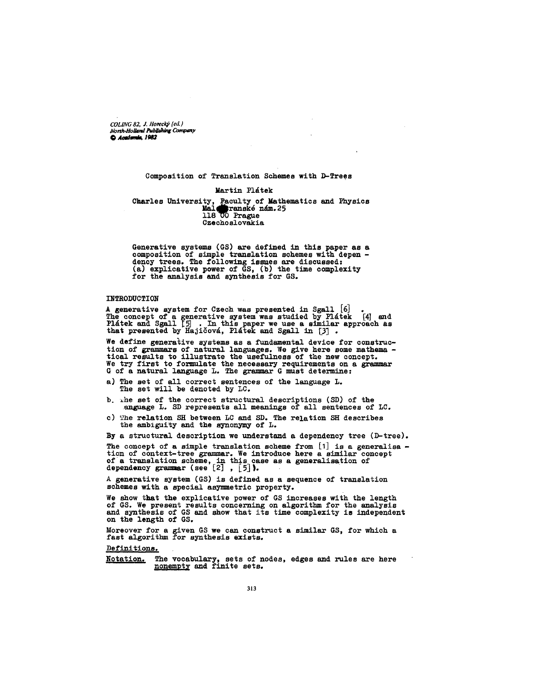*COL1NG 82, ,I. Horeclcj, (ed./ North-Holland Pab~hing Company* 

## Composition of Translation Schemes with D-Trees

## Martin Plátek

Charles University, Faculty of Mathematics and Physics Mal $_{\bullet}$ ranské nám.25 118 UO Prague Czechoslovakia

Generative systems (GS) are defined in this paper as a composition of simple translation schemes with depen dency trees. The following issues are discussed: (a) explicative power of GS, (b) the time complexity for the analysis and synthesis for GS.

### **INTRODUCTION**

A generative system for Czech was presented in Sgall  $[6]$  . The concept of a generative system was studied by Platek [4] and<br>Platek and Sgall [5] . In this paper we use a similar approach as that presented by Hajičová, Plátek and Sgall in  $[3]$  .

We define generative systems as a fundamental device for construction of grammars of natural languages. We give here some mathema tical results to illustrate the usefulness of the new concept. We try first to formulate the necessary requirements on a grammar G of a natural language L. The grammar G must determine:

- a) The set of all correct sentences of the language L. The set will be denoted by LC.
- b. whe set of the correct structural descriptions (SD) of the anguage L. SD represents all meanings of all sentences of LC.
- c) The relation SH between LC and SD. The relation SH describes the ambiguity and the synonymy of L.

By a structural description we understand a dependency tree (D-tree).

The concept of a simple translation scheme from  $[1]$  is a generalisa tion of context-tree grammar. We introduce here a similar concept of a translation scheme, in this case as a generalisation of dependency grammar (see [2], [5]).

A generative system (GS) is defined as a sequence of translation schemes with a special asymmetric property.

show that the explicative power of GS increases with the length of GS. We present results concerning on algorithm for the analysis and synthesis of GS and show that its time complexity is independent on the length of GS.

Moreover for a given GS we can construct a similar GS, for which a fast algorithm for synthesis exists.

Definitions.

Notation. The vocabulary, sets of nodes, edges and rules are here nonempty and finite sets.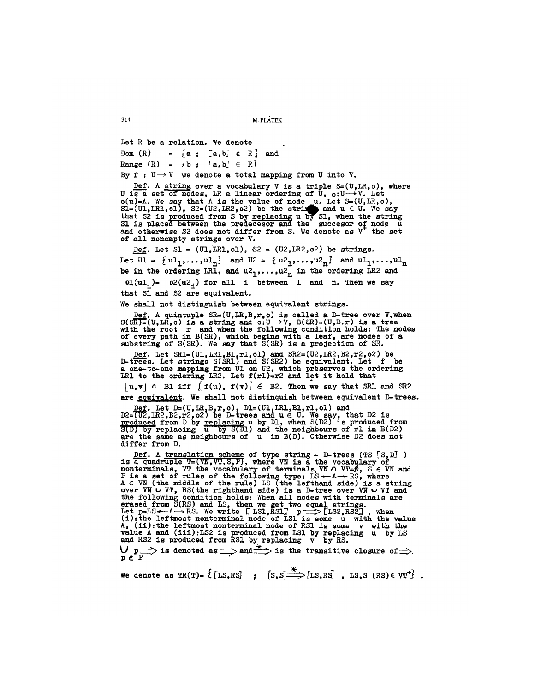314 M. PLATEK

Let R be a relation. We denote Dom (R) =  ${a, b} \in R$  and Range  $(R) = {b}$  ;  $[a,b] \in R$ } By  $f : U \rightarrow V$  we denote a total mapping from U into V.

<u>Def</u>. A <u>strin</u>g over a vocabulary V is a triple S=(U,LR,o), where U is a set of nodes, LR a linear ordering of U,  $_{\text{o}}:$ U $\rightarrow$ V. Let o(u)=A. We say that A is the value of node  $\mu$ . Let S=(U,LR, o),  $\texttt{SI}=(\texttt{UI},\texttt{LRL},\texttt{ol})$ ,  $\texttt{S2}=(\texttt{U2},\texttt{LRL},\texttt{o2})$  be the strix and  $\texttt{u} \in \texttt{U}$ . We say that S2 is <u>produced</u> from S by <u>replacing</u> u by S1, when the string<br>S1 is placed between the predecesor and the succesor of node u and otherwise \$2 does not differ from S. We denote as V the set of all nonempty strings over V.

Def. Let  $SI = (UI, LRI, ol)$ ,  $S2 = (U2, LR2, o2)$  be strings. Let  $UI = \{ ul_1, \ldots, ul_n \}$  and  $U^2 = \{ ul_1, \ldots, ul_n \}$  and  $ul_1, \ldots, ul_n$ be in the ordering LR1, and  $u_1, \ldots, u_n$  in the ordering LR2 and ol(ul<sub>i</sub>)= o2(u2<sub>i</sub>) for all i between 1 and n. Then we say that S1 and \$2 are equivalent.

We shall not distinguish between equivalent strings.

Def. A quintuple  $SR=(U,LR,B,r,0)$  is called a D-tree over  $V,$  when  $S(SR)=(U,LR, o)$  is a string and  $o:U\rightarrow V$ ,  $B(SR)=(U,B,r)$  is a tree with the root r and when the following condition holds: The nodes of every path in B(SR), which begins with a leaf, are nodes of a substrlng of S(SR). We say that S(SR) is a projection of SR.

<u>Def</u>. Let SR1=(U1,LR1,B1,r1,o1) and SR2=(U2,LR2,B2,r2,o2) be D-trees. Let strings  $S(SRL)$  and  $S(SR2)$  be equivalent. Let f be a one-to-one mapping from UI on U2, which preserves the ordering LR1 to the ordering LR2. Let  $f(r1)=r2$  and let it hold that

 $[u, \overline{v}] \in$  B1 iff  $[f(u), f(v)] \in$  B2. Then we say that SR1 and SR2 are equivalent. We shall not distinquish between equivalent D-trees.

Def. Let D=(U,LR,B,r,o), D1=(U1,LR1,B1,r1,ol) and<br>D2=(U2,LR2,B2,r2,o2) be D-trees and u  $\in$  U. We say, that D2 is p<u>roduced</u> from D by <u>replacin</u>g u by D1, when S(D2) is produced from S(D) by replacing u by S(D1) and the neighbours of rl in B(D2) are the same as neighbours of u in B(D). Otherwise D2 does not differ from D.

Def. A translation scheme of type string - D-trees (TS [S,D]) is a quadruple T=(VN,VT,S,P), where VN is a the vocabulary of nonterminals, VT the vocabulary of terminals, VN  $\land$  VT= $\cancel{\rho}$ , S  $\in$  VN and P is a set of rules of the following type: LS<--A-->RS, where<br>A  $\in$  VN (the middle of the rule) LS (the lefthand side) is a string over VN  $\cup$  VT, RS(the righthand side) is a D-tree over VN  $\cup$  VT and the following condition holds: When all nodes with terminals are erased from S(RS) and LS, then we get two equal strings.<br>Let p=LS<--A-->RS. We write [ LS1,RS1] p===>[LS2,RS2], when (i):the leftmost nonterm/nal node of LS1 is some u with the value A, (ii):the leftmost nonterminal node of RS1 is some v with the value A and (iii):LS2 is produced from LS1 by replacing u by LS and RS2 is produced from RS1 by replacing v by RS.

 $\vee$  p $\Longrightarrow$  is denoted as  $\Longrightarrow$  and  $\Longrightarrow$  is the transitive closure of  $\Longrightarrow$ .  $\mathbf{p}$  e .

We denote as  $TR(T)=\{ [LS, RS] : [S, S] \longrightarrow [LS, RS]$ , LS,S  $(RS) \in VT^{\dagger} \}$ .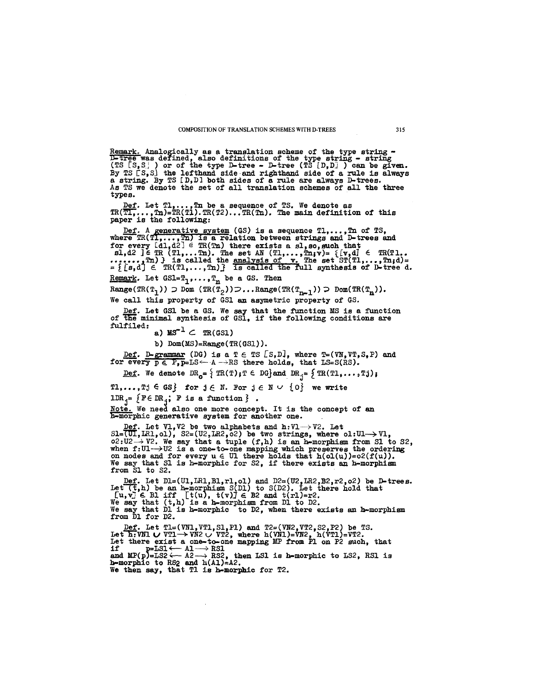Remark. Analogically as a translation scheme of the type string -<br><del>D-tree</del> was defined, also definitions of the type string - string (TS  $\{S, S\}$  ) or of the type D-tree - D-tree (TS  $[D, D]$  ) can be given. By TS [S, Sj the lefthand side and righthand side of a rule is always a string. By TS [D,D] both sides of a rule are always D-trees. As TS we denote the set of all translation schemes of all the three types.

 $\texttt{Def}.$  Let  $\texttt{T}_1,\ldots,\texttt{T}_n$  be a sequence of TS. We denote as TR(T1,...,Tn)=TR(T1).TR(T2)...TR(Tn). The main definition of this paper is the following:

<u>Def</u>. A generative system (GS) is a sequence  $T1, \ldots, Tn$  of TS, where  $\text{TR}(\texttt{TI},\dots, \texttt{Tr})$  is a relation between strings and D-trees and for every  $\texttt{ld}_1\texttt{d}2\texttt{T} \in \texttt{TR}(\texttt{Ta})$  there exists a sl,so,such that sl,d2 ] $\in$  TR (Tl,...Tn). The set AN (Tl,...,Tn;v)=  $\{[v,d] \in \text{TR}(T1, \ldots, Tm)]\}$  $\dots, \ldots, \text{Tr}$ ) } is called the <u>analysis of  $\mathbf{v}$ .</u> The set ST(Tl,...,Tn;d)=  $=$  { [s,d]  $\in$  TR(T1,...,Tn) is called the full synthesis of D-tree d. Remark. Let  $GSI=T_1,\ldots,T_n$  be a GS. Then

 $Range(\text{TR}(\texttt{T}_1)) \supset \texttt{Dom}(\text{TR}(\texttt{T}_2)) \supset \dots$ Range $(\text{TR}(\texttt{T}_{n-1})) \supset \texttt{Dom}(\text{TR}(\texttt{T}_n)).$ We call this property of GSI an asynetric property of GS.

Def. Let GSI be a GS. We say that the function MS is a function of the minimal synthesis of GS1, if the following conditions are fulfiled: a)  $MS^{-1} \subset TR(GSI)$ 

b) Dom(MS)=Range(TR(GSI) ).

<u>Def</u>. D-grammar (DG) is a T  $\in$  TS  $LS, D$ , where T=(VN,VT,S,P) and for every  $p \in P$ ,  $p=LS \leftarrow A \rightarrow RS$  there holds, that  $LS=S(RS)$ .

<u>Def</u>. We denote  $DR_{\mathbf{o}} = \{ TR(T) \text{ if } \in DG \}$  and  $DR_{\mathbf{f}} = \{ TR(T1, \ldots, Tj) \}$ 

T1,...,Tj  $\in$  GS} for  $j \in N$ . For  $j \in N \cup \{0\}$  we write

IDR<sub>j</sub>=  $\{$  F $\in$  DR<sub>j</sub>; F is a function  $\}$ .

<u>Note.</u> We need also one more concept. It is the concept of an h-morphic generative system for another one.

<u>Def</u>. Let  $VI$ ,V2 be two alphabets and h:Vl- $\rightarrow$ V2. Let  $SL=(UL,LR1, o1)$ ,  $Sz=(U2,LR2, o2)$  be two strings, where  $ol:UL\rightarrow VI$ ,  $\circ$ 2:U2 $\rightarrow$  V2. We say that a tuple (f,h) is an h-morphism from S1 to S2, when f:UI $\rightarrow$ U2 is a one-to-one mapping which preserves the ordering on nodes and for every  $u \in U1$  there holds that  $h(\text{ol}(u))=o2(f(u))$ . We say that SI is h-morphic for \$2, if there exists an h-morphism from S1 to S2.

<u>Def</u>. Let D1=(U1, LR1, B1, r1, o1) and D2=(U2, LR2, B2, r2, o2) be D-trees. Let  $(t,h)$  be an h-morphism S(D1) to S(D2). Let there hold that  $[u, v] \in$  Bl iff  $[t(u), t(v)] \in$  B2 and  $t(r1)=r2$ .<br>We say that  $(t,h)$  is a h-morphism from D1 to D2. We say that DI is h-morphic to D2, when there exists an h-morphism from DI for D2.

<u>Def</u>. Let T1=(VN1,VT1,S1,P1) and T2=(VN2,VT2,S2,P2) be TS. Let h:VNI  $\cup$  VTI $\rightarrow$ VN2  $\cup$  VT2, where h(VNI)=VN2, h(VTI)=VT2. Let there exist a one-to-one mapping MP from PI on P2 such, that if p=LS1 <-- A1 ---> RS1<br>and MP(p)=LS2 <-- A2 ---> RS2, then LS1 is h-morphic to LS2, RS1 is<br>h-morphic to RS2 and h(A1)=A2. We then say, that TI is h-morphic for T2.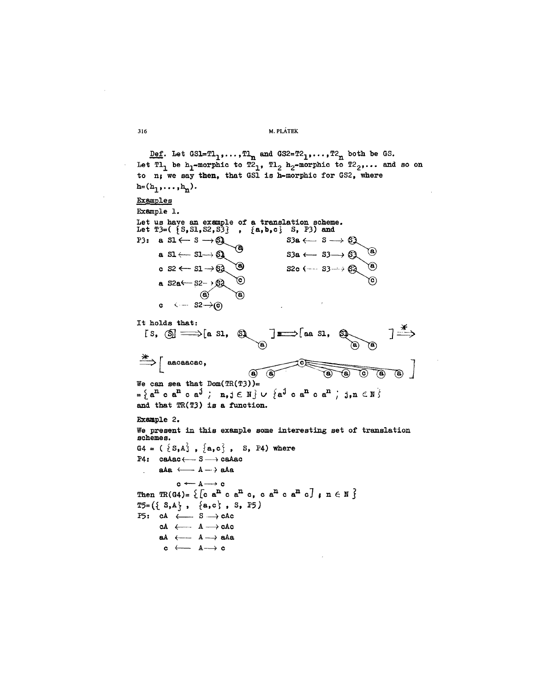## 316 M. PLÁTEK

Def. Let  $GSL = T1_1, \ldots, T1_n$  and  $GSL = T2_1, \ldots, T2_n$  both be GS. Let T1<sub>1</sub> be h<sub>1</sub>-morphic to T2<sub>1</sub>, T1<sub>2</sub> h<sub>2</sub>-morphic to T2<sub>2</sub>,... and so on to  $n_i$  we say then, that GS1 is h-morphic for GS2, where  $h=(h_1,\ldots,h_n).$ Examples Example i. Let us have an example of a translation scheme. Let  $T3=($   $\{S, SI, S2, S3\}$  ,  $\{a, b, c\}$  S, P3) and  $s$ 3a  $\leftarrow$   $s \rightarrow \mathbb{S}$ P3: a  $S1 \leftarrow S \rightarrow \mathbb{S}$  $s$ 3a  $\leftarrow$   $s$ 3 $\rightarrow$   $\bigcirc$ **a**  $s1 \leftarrow s1 \rightarrow s1$  $s2c$  (--  $s3 \rightarrow 82$ c  $s_2 \leftarrow s_1 \rightarrow s_2$ **a**  $52a \leftarrow 52 - 9$  $3a$  $\widetilde{\mathbf{e}}$ c  $\leftarrow$   $S2 \rightarrow (c)$ It holds that:  $\overrightarrow{a}$  $\overrightarrow{a}$  as 31,  $\overrightarrow{a}$ [S,  $\textcircled{s} \implies$  [a S1,  $\textcircled{s}$ ]  $\Rightarrow$   $\uparrow$  aacaacac,  $\begin{array}{c|c}\n\hline\n\text{A} & \text{B} & \text{C}\n\end{array}$  $\begin{pmatrix} a \\ c \end{pmatrix}$ We can sea that  $Dom(TR(T3))=$  $\mathbf{a} = \left\{ \mathbf{a}^{\mathbf{n}} \in \mathbf{a}^{\mathbf{n}} \in \mathbf{a}^{\mathbf{j}} \right\} \quad \mathbf{n}, \mathbf{j} \in \mathbb{N} \right\} \cup \left\{ \mathbf{a}^{\mathbf{j}} \in \mathbf{a}^{\mathbf{n}} \in \mathbf{a}^{\mathbf{n}} \right\} \quad \mathbf{j}, \mathbf{n} \in \mathbb{N} \right\}$ and that TR(T3) is a function. Example 2. We present in this example some interesting set of translation scheme **s •**   $G4 = (\{ S,A \}, \{ a,c\}, S, P4)$  where  $P4:$  caAac  $\longleftarrow$  S  $\longrightarrow$  caAac aAa  $\longleftarrow A \longrightarrow$  aAa  $\mathbf{c}\longleftarrow \mathbf{A}\longrightarrow \mathbf{c}$ Then  $TR(G4) = \{ \begin{bmatrix} c & a^n & c & a^n & c & a^n & c \end{bmatrix}$ ,  $n \in \mathbb{N} \}$  $TS = (\{ S, A \}, \{ a, c \}, S, PS)$ P5:  $cA \longleftarrow S \longrightarrow cAc$  $cA \leftarrow A \rightarrow cAc$ aA  $\longleftarrow$  A  $\rightarrow$  aAa  $c \leftrightarrow A \rightarrow c$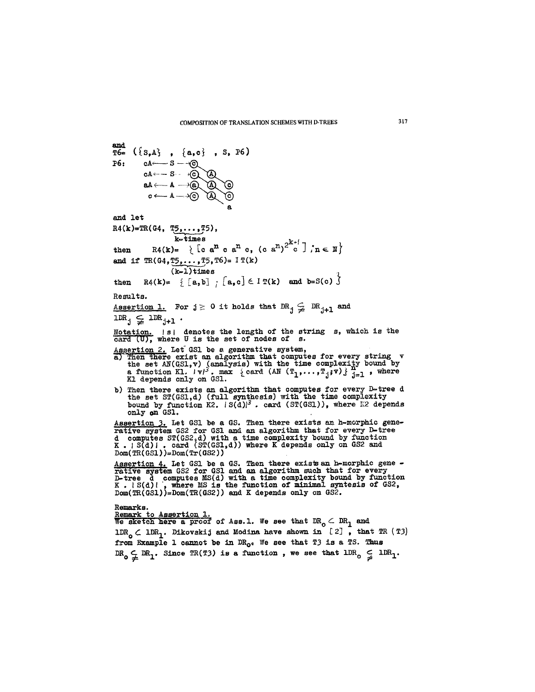and cA+- -- S aA~ e4-- a and let R4 (k)='I~( G4, T~51, k-t~mes **then R4(k)-- ~ [o ~n c ~n o, (c ~n)2k~ ;n ~** ~ and if TR(G4,TS,o . . ,T5,T6)= I T(k) (k-l) times **then ~4(k)= [ [a,b] ; ~a,c] e ~(k) and b=S(c)**  Results. Assertion 1. For j ~ 0 it holds that DRj ~ DRj+ I and 1DRj ~ 1DR j+ 1 . Notation. I sJ denotes the length of the string s, which is the where U is the set of nodes of s. Assertion 2. Let"GS1 be a generative system, a--~Then there exist an algorithm that computes for every string v the set AN(GSI,v) ~(analysis) with the time complexity bound by a function K1. Ivl~o max ~card (AN (T~,...,Ti;v) j ~-I , where El depends only on GSI. - ~ ~- b) Then there exists an algorithm that computes for every D~tree d the set ST(GSI,d) (full synthesis) with the time complexity bound by function K2. I S(d)l ~ . card (ST(GSI)), where I~2 depends only on GSI. Assertion ~. Let GS1 be a GS. Then there exists an h-morphic generative system GS2 for GS1 and an algorithm that for every D-tree d com~utes ST(GS2,d) with m time complexity bound by function K . J S(d) J o card (ST(GSI,d)) where K depends only on GS2 and Dom(TR(GSI) )=Dom(Tr(GS2)) Assertion 4. Let GSI be a GS. Then there exists an h-morphic gene r~tive sys%'em GS2 for GSI and an algorithm such that for every D-tree d computes MS(d) with a time complexity bound by function K . ~ S(d) I , where MS is the function of minimal syntesis of GS2, Dom(TR(GS1))=Dom(TR(GS2)) and K depends only on GS2. Remarks. Remark to Assertion I. We sketch here a proo'~ of Ass. i. We see that DR o ~ DR I an~ IDR o d IDR I. DLkovskij an~ Medina have shown in [ 2~ , that TR (T3) from Example I cannot be in DRo~ We see that T3 is a TS. Thus

DR  $\subset$  DR, Since  $TR(T3)$  is a function, we see that  $LDK \subsetneq LDK_1$ .